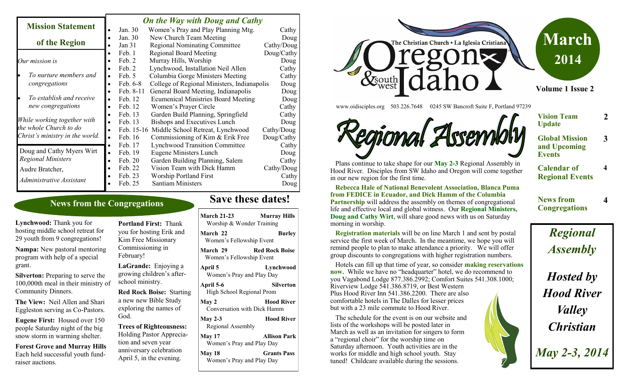#### *On the Way with Doug and Cathy*

|                                 |           |            | $\sigma$ <i>a</i> the <i>truly want</i> $\sigma$ <i>ong underwry</i> |            |
|---------------------------------|-----------|------------|----------------------------------------------------------------------|------------|
| <b>Mission Statement</b>        |           | Jan. 30    | Women's Pray and Play Planning Mtg.                                  | Cathy      |
|                                 |           | Jan. 30    | New Church Team Meeting                                              | Doug       |
| of the Region                   |           | Jan $31$   | <b>Regional Nominating Committee</b>                                 | Cathy/Doug |
|                                 |           | Feb. 1     | <b>Regional Board Meeting</b>                                        | Doug/Cathy |
| Our mission is                  |           | Feb. 2     | Murray Hills, Worship                                                | Doug       |
|                                 |           | Feb. 2     | Lynchwood, Installation Neil Allen                                   | Cathy      |
| To nurture members and          | $\bullet$ | Feb. 5     | Columbia Gorge Ministers Meeting                                     | Cathy      |
| congregations                   |           | Feb. 6-8   | College of Regional Ministers, Indianapolis                          | Doug       |
|                                 |           | Feb. 8-11  | General Board Meeting, Indianapolis                                  | Doug       |
| To establish and receive        |           | Feb. 12    | <b>Ecumenical Ministries Board Meeting</b>                           | Doug       |
| new congregations               |           | Feb. 12    | Women's Prayer Circle                                                | Cathy      |
|                                 |           | Feb. 13    | Garden Build Planning, Springfield                                   | Cathy      |
| While working together with     |           | Feb. 13    | Bishops and Executives Lunch                                         | Doug       |
| the whole Church to do          |           | Feb. 15-16 | Middle School Retreat, Lynchwood                                     | Cathy/Doug |
| Christ's ministry in the world. |           | Feb. 16    | Commissioning of Kim & Erik Free                                     | Doug/Cathy |
|                                 |           | Feb. 17    | <b>Lynchwood Transition Committee</b>                                | Cathy      |
| Doug and Cathy Myers Wirt       | $\bullet$ | Feb. 19    | <b>Eugene Ministers Lunch</b>                                        | Doug       |
| <b>Regional Ministers</b>       |           | Feb. 20    | Garden Building Planning, Salem                                      | Cathy      |
| Audre Bratcher,                 |           | Feb. 22    | Vision Team with Dick Hamm                                           | Cathy/Doug |
| Administrative Assistant        |           | Feb. 23    | <b>Worship Portland First</b>                                        | Cathy      |
|                                 |           | Feb. 25    | <b>Santiam Ministers</b>                                             | Doug       |
|                                 |           |            |                                                                      |            |

#### **News from the Congregations**

**Lynchwood:** Thank you for hosting middle school retreat for 29 youth from 9 congregations!

**Nampa:** New pastoral mentoring program with help of a special grant.

**Silverton:** Preparing to serve the 100,000th meal in their ministry of Community Dinners.

**The View:** Neil Allen and Shari Eggleston serving as Co-Pastors.

**Eugene First:** Housed over 150 people Saturday night of the big snow storm in warming shelter.

**Forest Grove and Murray Hills**  Each held successful youth fundraiser auctions.

**Portland First:** Thank you for hosting Erik and Kim Free Missionary Commissioning in February!

**LaGrande:** Enjoying a growing children's afterschool ministry.

**Red Rock Boise:** Starting a new new Bible Study exploring the names of God.

**Trees of Righteousness:**  Holding Pastor Appreciation and seven year anniversary celebration April 5, in the evening.

# **Save these dates!**

| <b>March 21-23</b><br>Worship & Wonder Training                   | <b>Murray Hills</b> |  |  |  |
|-------------------------------------------------------------------|---------------------|--|--|--|
| March 22<br>Women's Fellowship Event                              | <b>Burley</b>       |  |  |  |
| <b>Red Rock Boise</b><br>March 29<br>Women's Fellowship Event     |                     |  |  |  |
| Lynchwood<br>April 5<br>Women's Pray and Play Day                 |                     |  |  |  |
| April 5-6<br>High School Regional Prom                            | Silverton           |  |  |  |
| May 2<br>Conversation with Dick Hamm                              | <b>Hood River</b>   |  |  |  |
| <b>Hood River</b><br><b>May 2-3</b><br>Regional Assembly          |                     |  |  |  |
| <b>Allison Park</b><br><b>May 17</b><br>Women's Pray and Play Day |                     |  |  |  |
| <b>May 18</b>                                                     | <b>Grants Pass</b>  |  |  |  |

Women's Pray and Play Day



www.oidisciples.org 503.226.7648 0245 SW Bancroft Suite F, Portland 97239

Regional Assembly

**Vision Team Update**

**2**

**3**

**4**

**4**

**Global Mission and Upcoming Events**

**Calendar of Regional Events**

**News from Congregations**

 Plans continue to take shape for our **May 2-3** Regional Assembly in Hood River. Disciples from SW Idaho and Oregon will come together in our new region for the first time.

 **Rebecca Hale of National Benevolent Association, Blanca Puma from FEDICE in Ecuador, and Dick Hamm of the Columbia Partnership** will address the assembly on themes of congregational life and effective local and global witness. Our **Regional Ministers, Doug and Cathy Wirt**, will share good news with us on Saturday morning in worship.

 **Registration materials** will be on line March 1 and sent by postal service the first week of March**.** In the meantime, we hope you will remind people to plan to make attendance a priority. We will offer group discounts to congregations with higher registration numbers.

 Hotels can fill up that time of year, so consider **making reservations now.** While we have no "headquarter" hotel, we do recommend to you Vagabond Lodge 877.386.2992; Comfort Suites 541.308.1000; Riverview Lodge 541.386.8719, or Best Western Plus Hood River Inn 541.386.2200. There are also comfortable hotels in The Dalles for lesser prices but with a 23 mile commute to Hood River.

 The schedule for the event is on our website and lists of the workshops will be posted later in March as well as an invitation for singers to form a "regional choir" for the worship time on Saturday afternoon. Youth activities are in the works for middle and high school youth. Stay tuned! Childcare available during the sessions.

*Regional Assembly Hosted by Hood River Valley Christian*

*May 2-3, 2014*